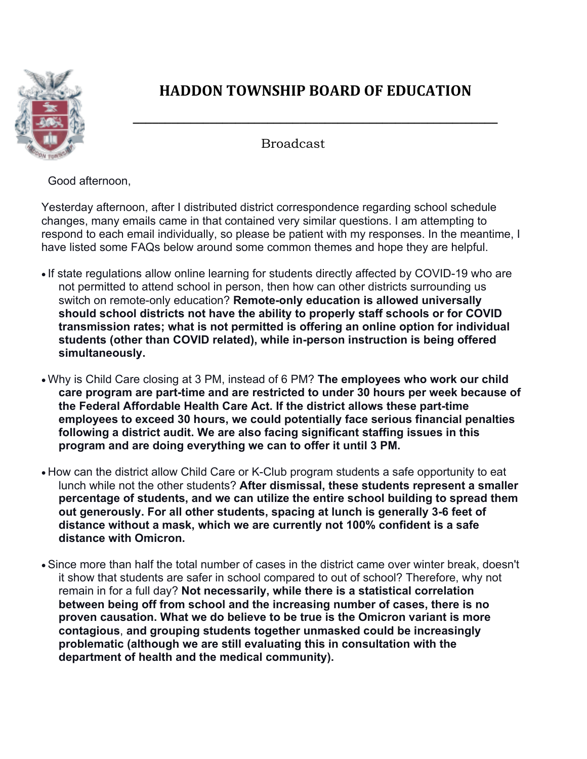

## **HADDON TOWNSHIP BOARD OF EDUCATION**

**\_\_\_\_\_\_\_\_\_\_\_\_\_\_\_\_\_\_\_\_\_\_\_\_\_\_\_\_\_\_\_\_\_\_\_\_\_\_\_\_\_\_\_\_\_\_\_\_\_\_\_\_\_\_\_\_\_**

## Broadcast

Good afternoon,

Yesterday afternoon, after I distributed district correspondence regarding school schedule changes, many emails came in that contained very similar questions. I am attempting to respond to each email individually, so please be patient with my responses. In the meantime, I have listed some FAQs below around some common themes and hope they are helpful.

- If state regulations allow online learning for students directly affected by COVID-19 who are not permitted to attend school in person, then how can other districts surrounding us switch on remote-only education? **Remote-only education is allowed universally should school districts not have the ability to properly staff schools or for COVID transmission rates; what is not permitted is offering an online option for individual students (other than COVID related), while in-person instruction is being offered simultaneously.**
- Why is Child Care closing at 3 PM, instead of 6 PM? **The employees who work our child care program are part-time and are restricted to under 30 hours per week because of the Federal Affordable Health Care Act. If the district allows these part-time employees to exceed 30 hours, we could potentially face serious financial penalties following a district audit. We are also facing significant staffing issues in this program and are doing everything we can to offer it until 3 PM.**
- How can the district allow Child Care or K-Club program students a safe opportunity to eat lunch while not the other students? **After dismissal, these students represent a smaller percentage of students, and we can utilize the entire school building to spread them out generously. For all other students, spacing at lunch is generally 3-6 feet of distance without a mask, which we are currently not 100% confident is a safe distance with Omicron.**
- Since more than half the total number of cases in the district came over winter break, doesn't it show that students are safer in school compared to out of school? Therefore, why not remain in for a full day? **Not necessarily, while there is a statistical correlation between being off from school and the increasing number of cases, there is no proven causation. What we do believe to be true is the Omicron variant is more contagious**, **and grouping students together unmasked could be increasingly problematic (although we are still evaluating this in consultation with the department of health and the medical community).**